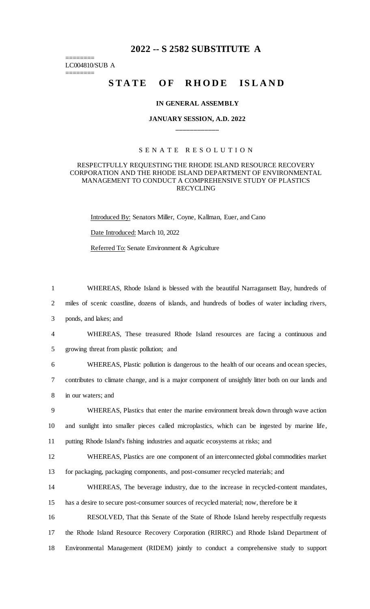# **2022 -- S 2582 SUBSTITUTE A**

======== LC004810/SUB A

========

# STATE OF RHODE ISLAND

### **IN GENERAL ASSEMBLY**

# **JANUARY SESSION, A.D. 2022 \_\_\_\_\_\_\_\_\_\_\_\_**

## S E N A T E R E S O L U T I O N

### RESPECTFULLY REQUESTING THE RHODE ISLAND RESOURCE RECOVERY CORPORATION AND THE RHODE ISLAND DEPARTMENT OF ENVIRONMENTAL MANAGEMENT TO CONDUCT A COMPREHENSIVE STUDY OF PLASTICS RECYCLING

Introduced By: Senators Miller, Coyne, Kallman, Euer, and Cano

#### Date Introduced: March 10, 2022

Referred To: Senate Environment & Agriculture

1 WHEREAS, Rhode Island is blessed with the beautiful Narragansett Bay, hundreds of 2 miles of scenic coastline, dozens of islands, and hundreds of bodies of water including rivers,

3 ponds, and lakes; and

4 WHEREAS, These treasured Rhode Island resources are facing a continuous and 5 growing threat from plastic pollution; and

6 WHEREAS, Plastic pollution is dangerous to the health of our oceans and ocean species, 7 contributes to climate change, and is a major component of unsightly litter both on our lands and 8 in our waters; and

9 WHEREAS, Plastics that enter the marine environment break down through wave action 10 and sunlight into smaller pieces called microplastics, which can be ingested by marine life, 11 putting Rhode Island's fishing industries and aquatic ecosystems at risks; and

12 WHEREAS, Plastics are one component of an interconnected global commodities market

13 for packaging, packaging components, and post-consumer recycled materials; and

14 WHEREAS, The beverage industry, due to the increase in recycled-content mandates, 15 has a desire to secure post-consumer sources of recycled material; now, therefore be it

16 RESOLVED, That this Senate of the State of Rhode Island hereby respectfully requests 17 the Rhode Island Resource Recovery Corporation (RIRRC) and Rhode Island Department of 18 Environmental Management (RIDEM) jointly to conduct a comprehensive study to support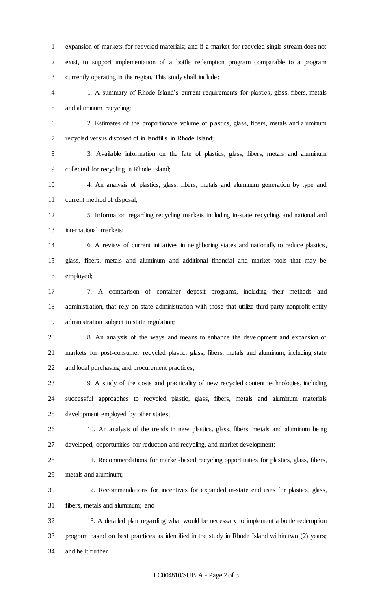expansion of markets for recycled materials; and if a market for recycled single stream does not exist, to support implementation of a bottle redemption program comparable to a program currently operating in the region. This study shall include:

- 1. A summary of Rhode Island's current requirements for plastics, glass, fibers, metals and aluminum recycling;
- 2. Estimates of the proportionate volume of plastics, glass, fibers, metals and aluminum recycled versus disposed of in landfills in Rhode Island;

 3. Available information on the fate of plastics, glass, fibers, metals and aluminum collected for recycling in Rhode Island;

 4. An analysis of plastics, glass, fibers, metals and aluminum generation by type and current method of disposal;

 5. Information regarding recycling markets including in-state recycling, and national and international markets;

 6. A review of current initiatives in neighboring states and nationally to reduce plastics, glass, fibers, metals and aluminum and additional financial and market tools that may be employed;

 7. A comparison of container deposit programs, including their methods and administration, that rely on state administration with those that utilize third-party nonprofit entity administration subject to state regulation;

 8. An analysis of the ways and means to enhance the development and expansion of markets for post-consumer recycled plastic, glass, fibers, metals and aluminum, including state and local purchasing and procurement practices;

 9. A study of the costs and practicality of new recycled content technologies, including successful approaches to recycled plastic, glass, fibers, metals and aluminum materials development employed by other states;

 10. An analysis of the trends in new plastics, glass, fibers, metals and aluminum being developed, opportunities for reduction and recycling, and market development;

 11. Recommendations for market-based recycling opportunities for plastics, glass, fibers, metals and aluminum;

 12. Recommendations for incentives for expanded in-state end uses for plastics, glass, fibers, metals and aluminum; and

 13. A detailed plan regarding what would be necessary to implement a bottle redemption program based on best practices as identified in the study in Rhode Island within two (2) years; and be it further